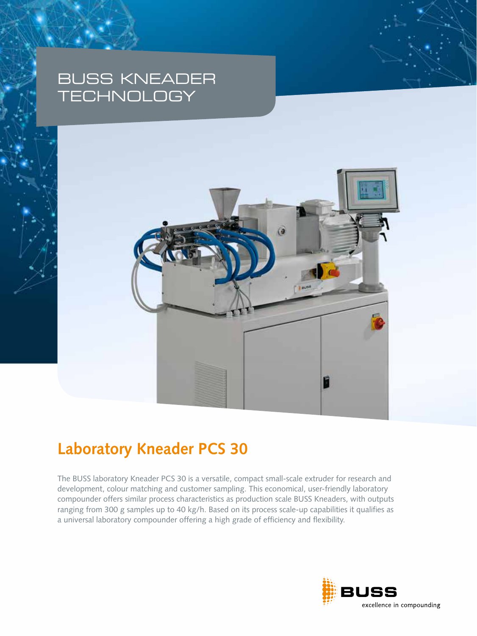## BUSS KNEADER **TECHNOLOGY**



# **Laboratory Kneader PCS 30**

The BUSS laboratory Kneader PCS 30 is a versatile, compact small-scale extruder for research and development, colour matching and customer sampling. This economical, user-friendly laboratory compounder offers similar process characteristics as production scale BUSS Kneaders, with outputs ranging from 300 g samples up to 40 kg/h. Based on its process scale-up capabilities it qualifies as a universal laboratory compounder offering a high grade of efficiency and flexibility.